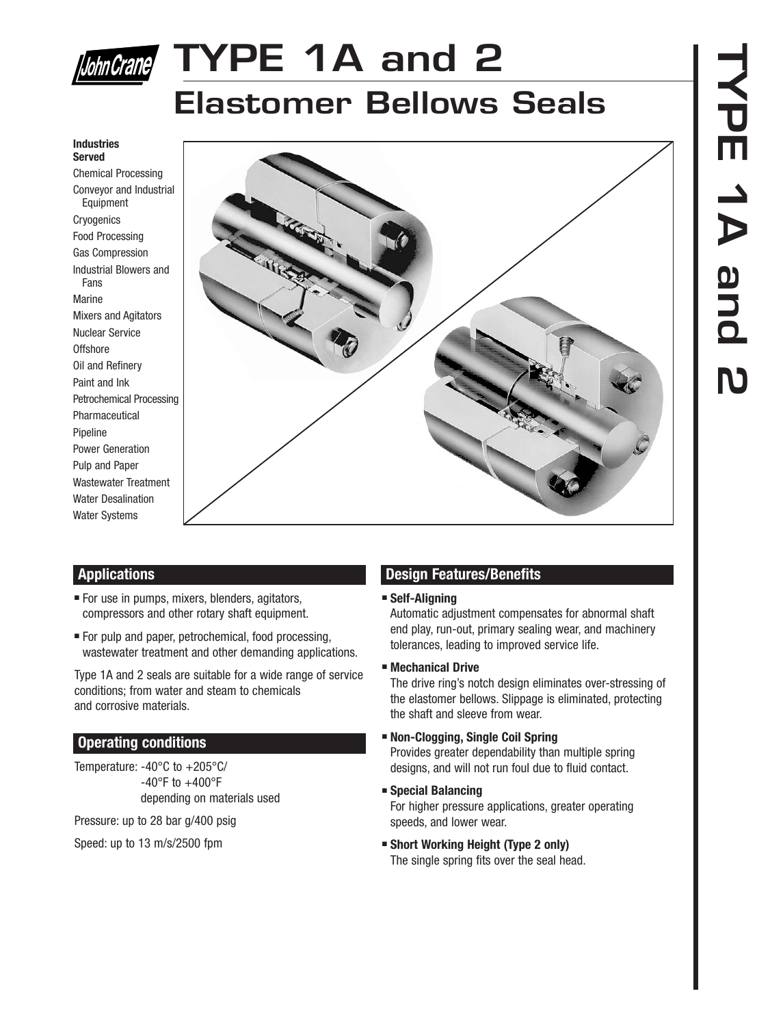

# **TYPE 1A and 2**

### **Elastomer Bellows Seals**

#### **Industries Served**

Chemical Processing Conveyor and Industrial Equipment **Cryogenics** Food Processing Gas Compression Industrial Blowers and Fans Marine Mixers and Agitators Nuclear Service **Offshore** Oil and Refinery Paint and Ink Petrochemical Processing Pharmaceutical Pipeline Power Generation Pulp and Paper Wastewater Treatment Water Desalination Water Systems



#### **Applications**

- For use in pumps, mixers, blenders, agitators, compressors and other rotary shaft equipment.
- For pulp and paper, petrochemical, food processing, wastewater treatment and other demanding applications.

Type 1A and 2 seals are suitable for a wide range of service conditions; from water and steam to chemicals and corrosive materials.

#### **Operating conditions**

Temperature: -40°C to +205°C/  $-40^{\circ}$ F to  $+400^{\circ}$ F depending on materials used

Pressure: up to 28 bar g/400 psig

Speed: up to 13 m/s/2500 fpm

#### **Design Features/Benefits**

#### ■ **Self-Aligning**

Automatic adjustment compensates for abnormal shaft end play, run-out, primary sealing wear, and machinery tolerances, leading to improved service life.

#### ■ **Mechanical Drive**

The drive ring's notch design eliminates over-stressing of the elastomer bellows. Slippage is eliminated, protecting the shaft and sleeve from wear.

■ **Non-Clogging, Single Coil Spring** Provides greater dependability than multiple spring

designs, and will not run foul due to fluid contact.

■ **Special Balancing**

For higher pressure applications, greater operating speeds, and lower wear.

■ **Short Working Height (Type 2 only)** The single spring fits over the seal head.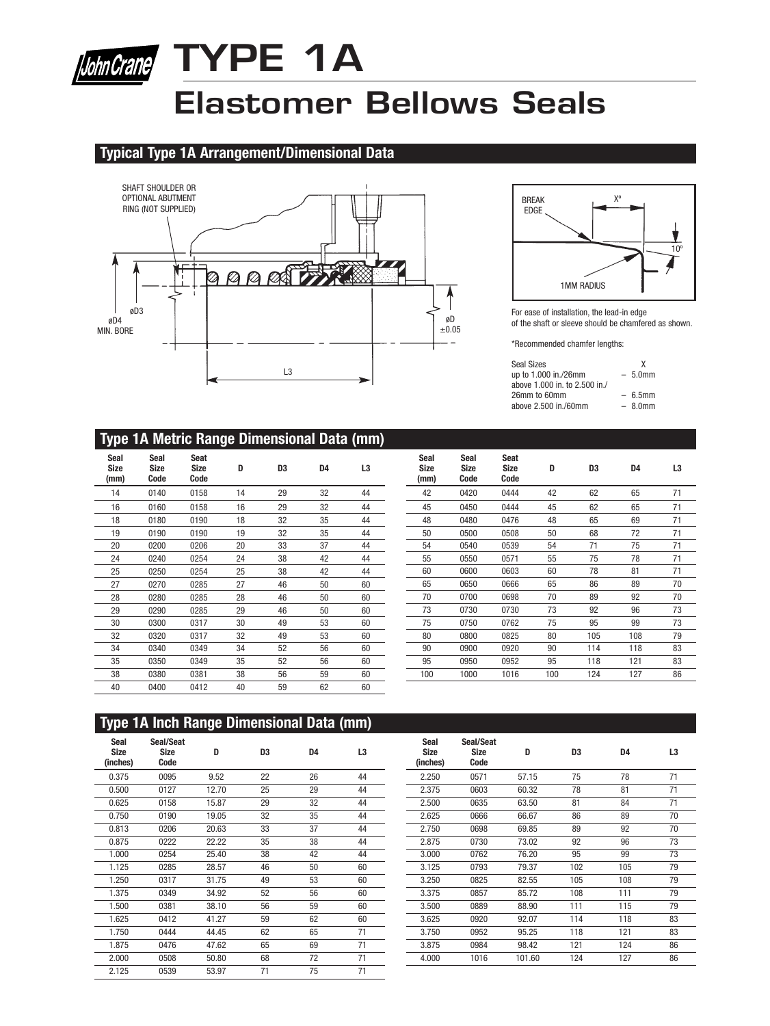

# **TYPE 1A**

# **Elastomer Bellows Seals**

#### **Typical Type 1A Arrangement/Dimensional Data**





For ease of installation, the lead-in edge of the shaft or sleeve should be chamfered as shown.

\*Recommended chamfer lengths:

| Seal Sizes                    | x         |
|-------------------------------|-----------|
| up to 1.000 in./26mm          | $-5.0$ mm |
| above 1,000 in, to 2,500 in./ |           |
| 26mm to 60mm                  | $-6.5$ mm |
| above 2.500 in./60mm          | $-80$ mm  |

#### **Type 1A Metric Range Dimensional Data (mm)**

| Seal<br><b>Size</b><br>(mm) | Seal<br><b>Size</b><br>Code | Seat<br><b>Size</b><br>Code | D  | D <sub>3</sub> | D4 | L3 |
|-----------------------------|-----------------------------|-----------------------------|----|----------------|----|----|
| 14                          | 0140                        | 0158                        | 14 | 29             | 32 | 44 |
| 16                          | 0160                        | 0158                        | 16 | 29             | 32 | 44 |
| 18                          | 0180                        | 0190                        | 18 | 32             | 35 | 44 |
| 19                          | 0190                        | 0190                        | 19 | 32             | 35 | 44 |
| 20                          | 0200                        | 0206                        | 20 | 33             | 37 | 44 |
| 24                          | 0240                        | 0254                        | 24 | 38             | 42 | 44 |
| 25                          | 0250                        | 0254                        | 25 | 38             | 42 | 44 |
| 27                          | 0270                        | 0285                        | 27 | 46             | 50 | 60 |
| 28                          | 0280                        | 0285                        | 28 | 46             | 50 | 60 |
| 29                          | 0290                        | 0285                        | 29 | 46             | 50 | 60 |
| 30                          | 0300                        | 0317                        | 30 | 49             | 53 | 60 |
| 32                          | 0320                        | 0317                        | 32 | 49             | 53 | 60 |
| 34                          | 0340                        | 0349                        | 34 | 52             | 56 | 60 |
| 35                          | 0350                        | 0349                        | 35 | 52             | 56 | 60 |
| 38                          | 0380                        | 0381                        | 38 | 56             | 59 | 60 |
| 40                          | 0400                        | 0412                        | 40 | 59             | 62 | 60 |

| Seal<br><b>Size</b><br>(mm) | Seal<br><b>Size</b><br>Code | <b>Seat</b><br><b>Size</b><br>Code | D   | D3  | D4  | L3 |
|-----------------------------|-----------------------------|------------------------------------|-----|-----|-----|----|
| 42                          | 0420                        | 0444                               | 42  | 62  | 65  | 71 |
| 45                          | 0450                        | 0444                               | 45  | 62  | 65  | 71 |
| 48                          | 0480                        | 0476                               | 48  | 65  | 69  | 71 |
| 50                          | 0500                        | 0508                               | 50  | 68  | 72  | 71 |
| 54                          | 0540                        | 0539                               | 54  | 71  | 75  | 71 |
| 55                          | 0550                        | 0571                               | 55  | 75  | 78  | 71 |
| 60                          | 0600                        | 0603                               | 60  | 78  | 81  | 71 |
| 65                          | 0650                        | 0666                               | 65  | 86  | 89  | 70 |
| 70                          | 0700                        | 0698                               | 70  | 89  | 92  | 70 |
| 73                          | 0730                        | 0730                               | 73  | 92  | 96  | 73 |
| 75                          | 0750                        | 0762                               | 75  | 95  | 99  | 73 |
| 80                          | 0800                        | 0825                               | 80  | 105 | 108 | 79 |
| 90                          | 0900                        | 0920                               | 90  | 114 | 118 | 83 |
| 95                          | 0950                        | 0952                               | 95  | 118 | 121 | 83 |
| 100                         | 1000                        | 1016                               | 100 | 124 | 127 | 86 |

|                                 | <b>Type 1A Inch Range Dimensional Data (mm)</b> |       |                |                |    |                                 |                                  |        |                |                |                |
|---------------------------------|-------------------------------------------------|-------|----------------|----------------|----|---------------------------------|----------------------------------|--------|----------------|----------------|----------------|
| Seal<br><b>Size</b><br>(inches) | Seal/Seat<br><b>Size</b><br>Code                | D     | D <sub>3</sub> | D <sub>4</sub> | L3 | Seal<br><b>Size</b><br>(inches) | Seal/Seat<br><b>Size</b><br>Code | D      | D <sub>3</sub> | D <sub>4</sub> | L <sub>3</sub> |
| 0.375                           | 0095                                            | 9.52  | 22             | 26             | 44 | 2.250                           | 0571                             | 57.15  | 75             | 78             | 71             |
| 0.500                           | 0127                                            | 12.70 | 25             | 29             | 44 | 2.375                           | 0603                             | 60.32  | 78             | 81             | 71             |
| 0.625                           | 0158                                            | 15.87 | 29             | 32             | 44 | 2.500                           | 0635                             | 63.50  | 81             | 84             | 71             |
| 0.750                           | 0190                                            | 19.05 | 32             | 35             | 44 | 2.625                           | 0666                             | 66.67  | 86             | 89             | 70             |
| 0.813                           | 0206                                            | 20.63 | 33             | 37             | 44 | 2.750                           | 0698                             | 69.85  | 89             | 92             | 70             |
| 0.875                           | 0222                                            | 22.22 | 35             | 38             | 44 | 2.875                           | 0730                             | 73.02  | 92             | 96             | 73             |
| 1.000                           | 0254                                            | 25.40 | 38             | 42             | 44 | 3.000                           | 0762                             | 76.20  | 95             | 99             | 73             |
| 1.125                           | 0285                                            | 28.57 | 46             | 50             | 60 | 3.125                           | 0793                             | 79.37  | 102            | 105            | 79             |
| 1.250                           | 0317                                            | 31.75 | 49             | 53             | 60 | 3.250                           | 0825                             | 82.55  | 105            | 108            | 79             |
| 1.375                           | 0349                                            | 34.92 | 52             | 56             | 60 | 3.375                           | 0857                             | 85.72  | 108            | 111            | 79             |
| 1.500                           | 0381                                            | 38.10 | 56             | 59             | 60 | 3.500                           | 0889                             | 88.90  | 111            | 115            | 79             |
| 1.625                           | 0412                                            | 41.27 | 59             | 62             | 60 | 3.625                           | 0920                             | 92.07  | 114            | 118            | 83             |
| 1.750                           | 0444                                            | 44.45 | 62             | 65             | 71 | 3.750                           | 0952                             | 95.25  | 118            | 121            | 83             |
| 1.875                           | 0476                                            | 47.62 | 65             | 69             | 71 | 3.875                           | 0984                             | 98.42  | 121            | 124            | 86             |
| 2.000                           | 0508                                            | 50.80 | 68             | 72             | 71 | 4.000                           | 1016                             | 101.60 | 124            | 127            | 86             |
| 2.125                           | 0539                                            | 53.97 | 71             | 75             | 71 |                                 |                                  |        |                |                |                |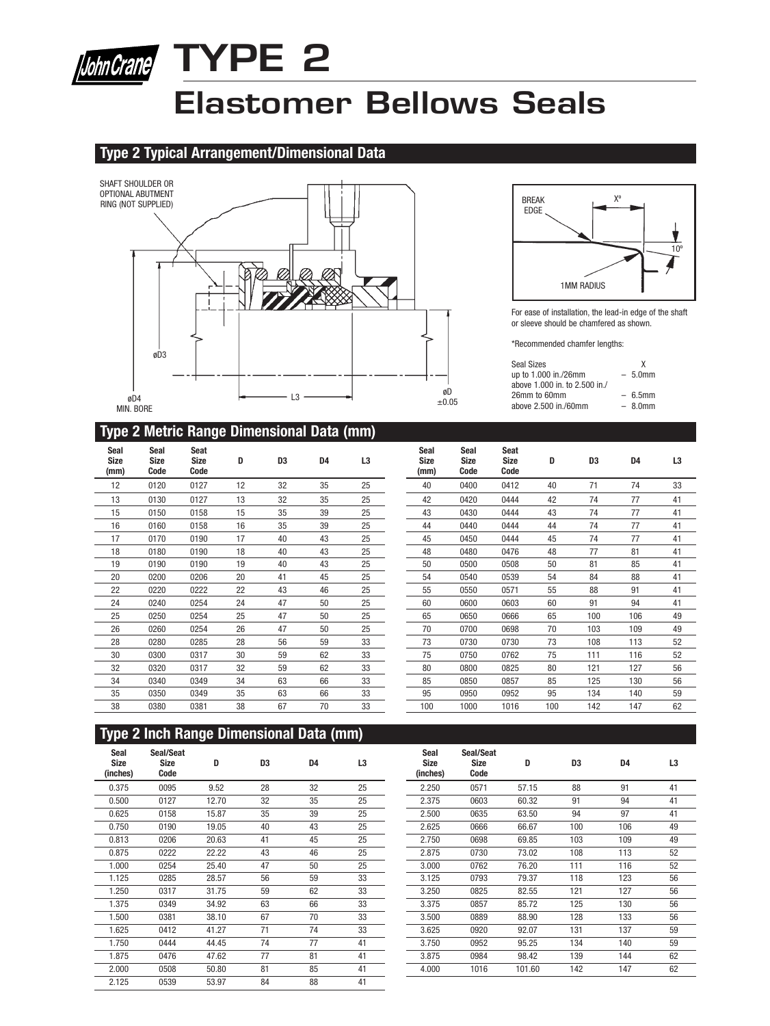

## **Elastomer Bellows Seals**

#### **Type 2 Typical Arrangement/Dimensional Data**





For ease of installation, the lead-in edge of the shaft or sleeve should be chamfered as shown.

\*Recommended chamfer lengths:

| Seal Sizes<br>up to 1.000 in./26mm<br>above 1,000 in, to 2,500 in./ | x<br>$-5.0$ mm |
|---------------------------------------------------------------------|----------------|
| 26mm to 60mm                                                        | $-6.5$ mm      |
| above 2,500 in /60mm                                                | $-80$ mm       |

#### **Type 2 Metric Range Dimensional Data (mm)**

| <b>Seal</b><br><b>Size</b><br>(mm) | Seal<br><b>Size</b><br>Code | Seat<br><b>Size</b><br>Code | D  | D3 | D4 | L3 |
|------------------------------------|-----------------------------|-----------------------------|----|----|----|----|
| 12                                 | 0120                        | 0127                        | 12 | 32 | 35 | 25 |
| 13                                 | 0130                        | 0127                        | 13 | 32 | 35 | 25 |
| 15                                 | 0150                        | 0158                        | 15 | 35 | 39 | 25 |
| 16                                 | 0160                        | 0158                        | 16 | 35 | 39 | 25 |
| 17                                 | 0170                        | 0190                        | 17 | 40 | 43 | 25 |
| 18                                 | 0180                        | 0190                        | 18 | 40 | 43 | 25 |
| 19                                 | 0190                        | 0190                        | 19 | 40 | 43 | 25 |
| 20                                 | 0200                        | 0206                        | 20 | 41 | 45 | 25 |
| 22                                 | 0220                        | 0222                        | 22 | 43 | 46 | 25 |
| 24                                 | 0240                        | 0254                        | 24 | 47 | 50 | 25 |
| 25                                 | 0250                        | 0254                        | 25 | 47 | 50 | 25 |
| 26                                 | 0260                        | 0254                        | 26 | 47 | 50 | 25 |
| 28                                 | 0280                        | 0285                        | 28 | 56 | 59 | 33 |
| 30                                 | 0300                        | 0317                        | 30 | 59 | 62 | 33 |
| 32                                 | 0320                        | 0317                        | 32 | 59 | 62 | 33 |
| 34                                 | 0340                        | 0349                        | 34 | 63 | 66 | 33 |
| 35                                 | 0350                        | 0349                        | 35 | 63 | 66 | 33 |
| 38                                 | 0380                        | 0381                        | 38 | 67 | 70 | 33 |

| Seal<br><b>Size</b><br>(mm) | Seal<br><b>Size</b><br>Code | <b>Seat</b><br>Size<br>Code | D   | D3  | D4  | L3 |
|-----------------------------|-----------------------------|-----------------------------|-----|-----|-----|----|
| 40                          | 0400                        | 0412                        | 40  | 71  | 74  | 33 |
| 42                          | 0420                        | 0444                        | 42  | 74  | 77  | 41 |
| 43                          | 0430                        | 0444                        | 43  | 74  | 77  | 41 |
| 44                          | 0440                        | 0444                        | 44  | 74  | 77  | 41 |
| 45                          | 0450                        | 0444                        | 45  | 74  | 77  | 41 |
| 48                          | 0480                        | 0476                        | 48  | 77  | 81  | 41 |
| 50                          | 0500                        | 0508                        | 50  | 81  | 85  | 41 |
| 54                          | 0540                        | 0539                        | 54  | 84  | 88  | 41 |
| 55                          | 0550                        | 0571                        | 55  | 88  | 91  | 41 |
| 60                          | 0600                        | 0603                        | 60  | 91  | 94  | 41 |
| 65                          | 0650                        | 0666                        | 65  | 100 | 106 | 49 |
| 70                          | 0700                        | 0698                        | 70  | 103 | 109 | 49 |
| 73                          | 0730                        | 0730                        | 73  | 108 | 113 | 52 |
| 75                          | 0750                        | 0762                        | 75  | 111 | 116 | 52 |
| 80                          | 0800                        | 0825                        | 80  | 121 | 127 | 56 |
| 85                          | 0850                        | 0857                        | 85  | 125 | 130 | 56 |
| 95                          | 0950                        | 0952                        | 95  | 134 | 140 | 59 |
| 100                         | 1000                        | 1016                        | 100 | 142 | 147 | 62 |

#### **Type 2 Inch Range Dimensional Data (mm)**

| Seal<br>Size<br>(inches) | Seal/Seat<br><b>Size</b><br>Code | D     | D <sub>3</sub> | D <sub>4</sub> | L <sub>3</sub> | Seal<br><b>Size</b><br>(inches) | Seal/Seat<br><b>Size</b><br>Code | D      | D <sub>3</sub> | D <sub>4</sub> | L <sub>3</sub> |
|--------------------------|----------------------------------|-------|----------------|----------------|----------------|---------------------------------|----------------------------------|--------|----------------|----------------|----------------|
| 0.375                    | 0095                             | 9.52  | 28             | 32             | 25             | 2.250                           | 0571                             | 57.15  | 88             | 91             | 41             |
| 0.500                    | 0127                             | 12.70 | 32             | 35             | 25             | 2.375                           | 0603                             | 60.32  | 91             | 94             | 41             |
| 0.625                    | 0158                             | 15.87 | 35             | 39             | 25             | 2.500                           | 0635                             | 63.50  | 94             | 97             | 41             |
| 0.750                    | 0190                             | 19.05 | 40             | 43             | 25             | 2.625                           | 0666                             | 66.67  | 100            | 106            | 49             |
| 0.813                    | 0206                             | 20.63 | 41             | 45             | 25             | 2.750                           | 0698                             | 69.85  | 103            | 109            | 49             |
| 0.875                    | 0222                             | 22.22 | 43             | 46             | 25             | 2.875                           | 0730                             | 73.02  | 108            | 113            | 52             |
| 1.000                    | 0254                             | 25.40 | 47             | 50             | 25             | 3.000                           | 0762                             | 76.20  | 111            | 116            | 52             |
| 1.125                    | 0285                             | 28.57 | 56             | 59             | 33             | 3.125                           | 0793                             | 79.37  | 118            | 123            | 56             |
| 1.250                    | 0317                             | 31.75 | 59             | 62             | 33             | 3.250                           | 0825                             | 82.55  | 121            | 127            | 56             |
| 1.375                    | 0349                             | 34.92 | 63             | 66             | 33             | 3.375                           | 0857                             | 85.72  | 125            | 130            | 56             |
| 1.500                    | 0381                             | 38.10 | 67             | 70             | 33             | 3.500                           | 0889                             | 88.90  | 128            | 133            | 56             |
| 1.625                    | 0412                             | 41.27 | 71             | 74             | 33             | 3.625                           | 0920                             | 92.07  | 131            | 137            | 59             |
| 1.750                    | 0444                             | 44.45 | 74             | 77             | 41             | 3.750                           | 0952                             | 95.25  | 134            | 140            | 59             |
| 1.875                    | 0476                             | 47.62 | 77             | 81             | 41             | 3.875                           | 0984                             | 98.42  | 139            | 144            | 62             |
| 2.000                    | 0508                             | 50.80 | 81             | 85             | 41             | 4.000                           | 1016                             | 101.60 | 142            | 147            | 62             |
| 2.125                    | 0539                             | 53.97 | 84             | 88             | 41             |                                 |                                  |        |                |                |                |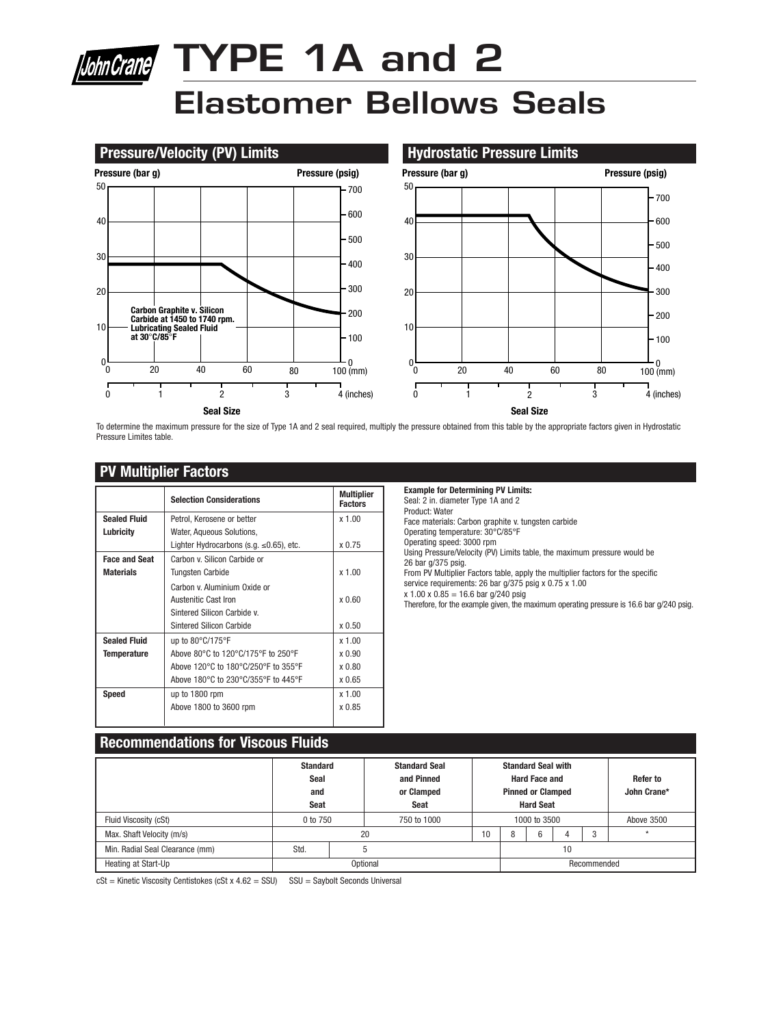# bhnCrane TYPE 1A and 2 **Elastomer Bellows Seals**



To determine the maximum pressure for the size of Type 1A and 2 seal required, multiply the pressure obtained from this table by the appropriate factors given in Hydrostatic Pressure Limites table.

#### **PV Multiplier Factors**

|                      | <b>Selection Considerations</b>                | <b>Multiplier</b><br><b>Factors</b> |
|----------------------|------------------------------------------------|-------------------------------------|
| <b>Sealed Fluid</b>  | Petrol, Kerosene or better                     | x 1.00                              |
| Lubricity            | Water, Aqueous Solutions,                      |                                     |
|                      | Lighter Hydrocarbons (s.g. $\leq 0.65$ ), etc. | x 0.75                              |
| <b>Face and Seat</b> | Carbon v. Silicon Carbide or                   |                                     |
| <b>Materials</b>     | Tungsten Carbide                               | x 1.00                              |
|                      | Carbon y Aluminium Oxide or                    |                                     |
|                      | Austenitic Cast Iron                           | x0.60                               |
|                      | Sintered Silicon Carbide v.                    |                                     |
|                      | Sintered Silicon Carbide                       | x <sub>0.50</sub>                   |
| <b>Sealed Fluid</b>  | up to $80^{\circ}$ C/175 $^{\circ}$ F          | x 1.00                              |
| <b>Temperature</b>   | Above 80°C to 120°C/175°F to 250°F             | x 0.90                              |
|                      | Above 120°C to 180°C/250°F to 355°F            | x 0.80                              |
|                      | Above 180°C to 230°C/355°F to 445°F            | x 0.65                              |
| <b>Speed</b>         | up to 1800 rpm                                 | x 1.00                              |
|                      | Above 1800 to 3600 rpm                         | x 0.85                              |
|                      |                                                |                                     |

**Example for Determining PV Limits:** Seal: 2 in. diameter Type 1A and 2

Product: Water

Face materials: Carbon graphite v. tungsten carbide Operating temperature: 30°C/85°F

Operating speed: 3000 rpm

Using Pressure/Velocity (PV) Limits table, the maximum pressure would be 26 bar g/375 psig.

From PV Multiplier Factors table, apply the multiplier factors for the specific

service requirements: 26 bar g/375 psig x 0.75 x 1.00

 $x 1.00 x 0.85 = 16.6$  bar g/240 psig

Therefore, for the example given, the maximum operating pressure is 16.6 bar g/240 psig.

#### **Recommendations for Viscous Fluids**

|                                 | <b>Standard</b><br>Seal<br>and<br>Seat |  | <b>Standard Seal</b><br>and Pinned<br>or Clamped<br>Seat |    |             | <b>Standard Seal with</b><br><b>Hard Face and</b><br><b>Pinned or Clamped</b><br><b>Hard Seat</b> |  |            | Refer to<br>John Crane* |
|---------------------------------|----------------------------------------|--|----------------------------------------------------------|----|-------------|---------------------------------------------------------------------------------------------------|--|------------|-------------------------|
| Fluid Viscosity (cSt)           | 0 to 750                               |  | 750 to 1000                                              |    |             | 1000 to 3500                                                                                      |  | Above 3500 |                         |
| Max. Shaft Velocity (m/s)       |                                        |  | 20                                                       | 10 | 8           | 6                                                                                                 |  | 3          | $\star$                 |
| Min. Radial Seal Clearance (mm) | Std.                                   |  |                                                          |    | 10          |                                                                                                   |  |            |                         |
| Heating at Start-Up             | Optional                               |  |                                                          |    | Recommended |                                                                                                   |  |            |                         |

 $cSt$  = Kinetic Viscosity Centistokes (cSt x 4.62 = SSU) SSU = Saybolt Seconds Universal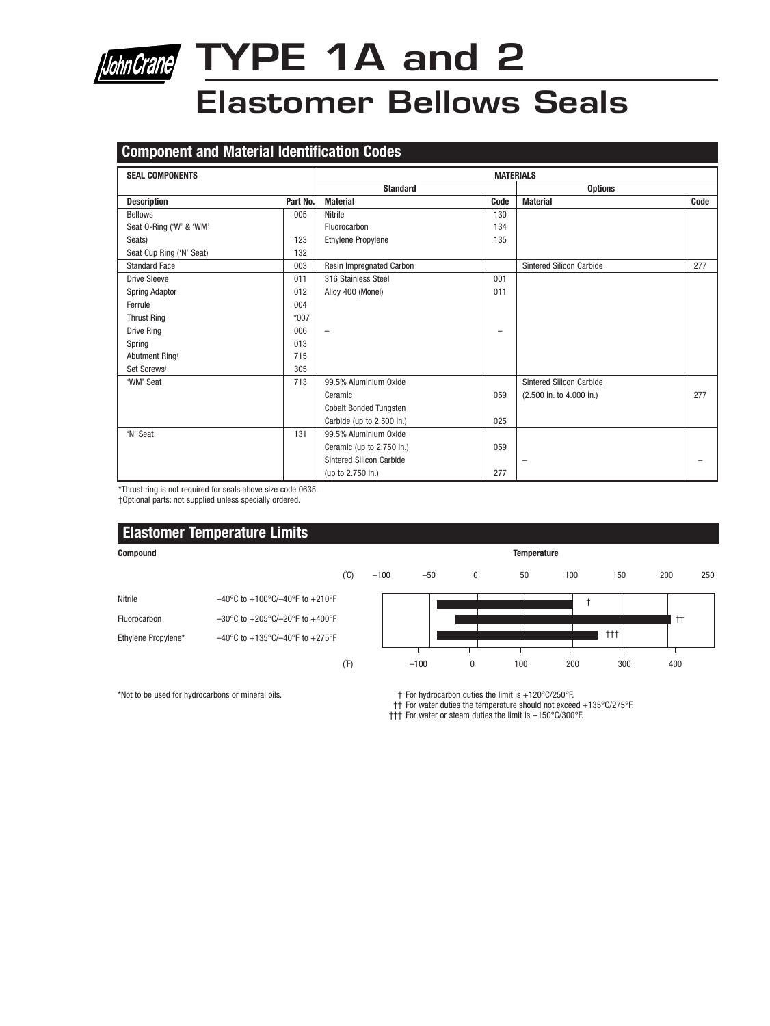

# **JohnCrane** TYPE 1A and 2

### **Elastomer Bellows Seals**

#### **Component and Material Identification Codes**

| <b>SEAL COMPONENTS</b>     |          | <b>MATERIALS</b>                |      |                                 |      |  |  |
|----------------------------|----------|---------------------------------|------|---------------------------------|------|--|--|
|                            |          | <b>Standard</b>                 |      | <b>Options</b>                  |      |  |  |
| <b>Description</b>         | Part No. | <b>Material</b>                 | Code | <b>Material</b>                 | Code |  |  |
| <b>Bellows</b>             | 005      | Nitrile                         | 130  |                                 |      |  |  |
| Seat 0-Ring ('W' & 'WM'    |          | Fluorocarbon                    | 134  |                                 |      |  |  |
| Seats)                     | 123      | <b>Ethylene Propylene</b>       | 135  |                                 |      |  |  |
| Seat Cup Ring ('N' Seat)   | 132      |                                 |      |                                 |      |  |  |
| <b>Standard Face</b>       | 003      | Resin Impregnated Carbon        |      | <b>Sintered Silicon Carbide</b> | 277  |  |  |
| <b>Drive Sleeve</b>        | 011      | 316 Stainless Steel             | 001  |                                 |      |  |  |
| <b>Spring Adaptor</b>      | 012      | Alloy 400 (Monel)               | 011  |                                 |      |  |  |
| Ferrule                    | 004      |                                 |      |                                 |      |  |  |
| <b>Thrust Ring</b>         | $*007$   |                                 |      |                                 |      |  |  |
| Drive Ring                 | 006      | $\overline{\phantom{m}}$        |      |                                 |      |  |  |
| Spring                     | 013      |                                 |      |                                 |      |  |  |
| Abutment Ring <sup>+</sup> | 715      |                                 |      |                                 |      |  |  |
| Set Screws <sup>+</sup>    | 305      |                                 |      |                                 |      |  |  |
| 'WM' Seat                  | 713      | 99.5% Aluminium Oxide           |      | <b>Sintered Silicon Carbide</b> |      |  |  |
|                            |          | Ceramic                         | 059  | (2.500 in. to 4.000 in.)        | 277  |  |  |
|                            |          | <b>Cobalt Bonded Tungsten</b>   |      |                                 |      |  |  |
|                            |          | Carbide (up to 2.500 in.)       | 025  |                                 |      |  |  |
| 'N' Seat                   | 131      | 99.5% Aluminium Oxide           |      |                                 |      |  |  |
|                            |          | Ceramic (up to 2.750 in.)       | 059  |                                 |      |  |  |
|                            |          | <b>Sintered Silicon Carbide</b> |      | $\overline{\phantom{0}}$        |      |  |  |
|                            |          | (up to 2.750 in.)               | 277  |                                 |      |  |  |

\*Thrust ring is not required for seals above size code 0635.

†Optional parts: not supplied unless specially ordered.

#### **Elastomer Temperature Limits Compound Temperature** (˚C) –100 –50 0 50 100 150 200 250 Nitrile  $-40^{\circ}$ C to  $+100^{\circ}$ C/ $-40^{\circ}$ F to  $+210^{\circ}$ F † Fluorocarbon –30°C to +205°C/–20°F to +400°F †† ┱ ┯ †††Ethylene Propylene\* –40°C to +135°C/–40°F to +275°F 근 ╤┺ (˚F) –100 0 100 200 300 400

\*Not to be used for hydrocarbons or mineral oils. † For hydrocarbon duties the limit is +120°C/250°F.

†† For water duties the temperature should not exceed +135°C/275°F.

††† For water or steam duties the limit is +150°C/300°F.